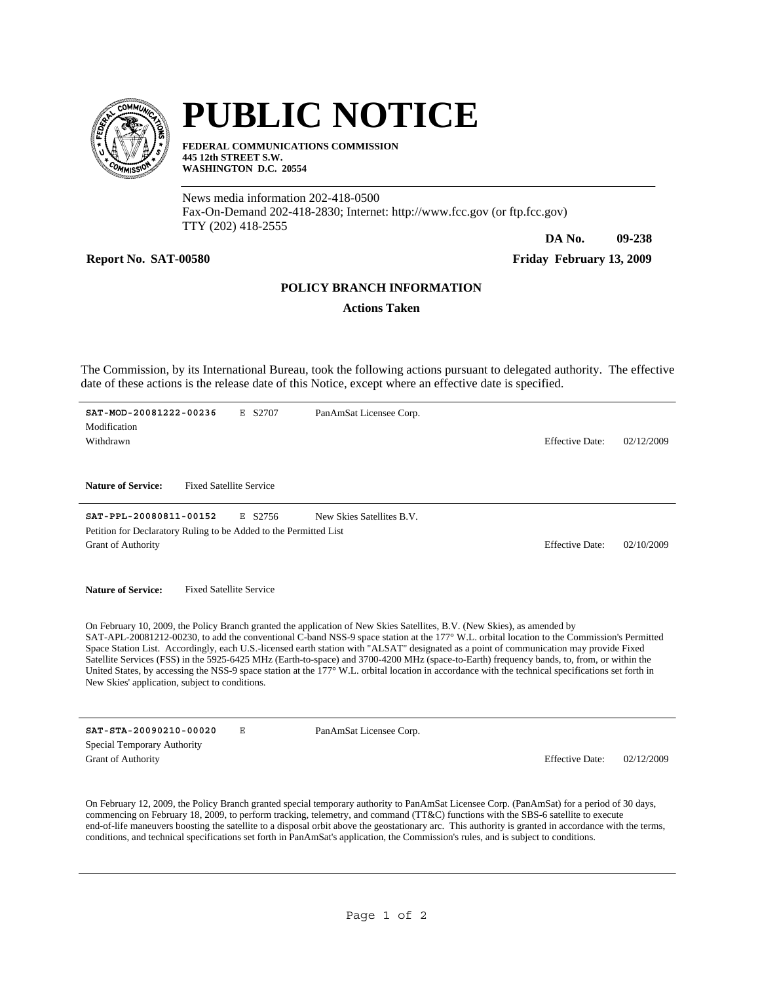

## **PUBLIC NOTICE**

**FEDERAL COMMUNICATIONS COMMISSION 445 12th STREET S.W. WASHINGTON D.C. 20554**

News media information 202-418-0500 Fax-On-Demand 202-418-2830; Internet: http://www.fcc.gov (or ftp.fcc.gov) TTY (202) 418-2555

**DA No. 09-238**

Report No. SAT-00580 Friday February 13, 2009

## **POLICY BRANCH INFORMATION**

**Actions Taken**

The Commission, by its International Bureau, took the following actions pursuant to delegated authority. The effective date of these actions is the release date of this Notice, except where an effective date is specified.

| SAT-MOD-20081222-00236<br>E S2707<br>PanAmSat Licensee Corp.<br>Modification<br>Withdrawn                                                                                                                                                                                                                                                                                                                                                                                                                                                                                                                                                                                                                                                                                        | <b>Effective Date:</b> | 02/12/2009 |
|----------------------------------------------------------------------------------------------------------------------------------------------------------------------------------------------------------------------------------------------------------------------------------------------------------------------------------------------------------------------------------------------------------------------------------------------------------------------------------------------------------------------------------------------------------------------------------------------------------------------------------------------------------------------------------------------------------------------------------------------------------------------------------|------------------------|------------|
| <b>Fixed Satellite Service</b><br><b>Nature of Service:</b>                                                                                                                                                                                                                                                                                                                                                                                                                                                                                                                                                                                                                                                                                                                      |                        |            |
| SAT-PPL-20080811-00152<br>New Skies Satellites B.V.<br>E S2756<br>Petition for Declaratory Ruling to be Added to the Permitted List<br><b>Grant of Authority</b>                                                                                                                                                                                                                                                                                                                                                                                                                                                                                                                                                                                                                 | <b>Effective Date:</b> | 02/10/2009 |
| <b>Nature of Service:</b><br><b>Fixed Satellite Service</b>                                                                                                                                                                                                                                                                                                                                                                                                                                                                                                                                                                                                                                                                                                                      |                        |            |
| On February 10, 2009, the Policy Branch granted the application of New Skies Satellites, B.V. (New Skies), as amended by<br>SAT-APL-20081212-00230, to add the conventional C-band NSS-9 space station at the 177° W.L. orbital location to the Commission's Permitted<br>Space Station List. Accordingly, each U.S.-licensed earth station with "ALSAT" designated as a point of communication may provide Fixed<br>Satellite Services (FSS) in the 5925-6425 MHz (Earth-to-space) and 3700-4200 MHz (space-to-Earth) frequency bands, to, from, or within the<br>United States, by accessing the NSS-9 space station at the $177^{\circ}$ W.L. orbital location in accordance with the technical specifications set forth in<br>New Skies' application, subject to conditions. |                        |            |
| SAT-STA-20090210-00020<br>PanAmSat Licensee Corp.<br>Ε                                                                                                                                                                                                                                                                                                                                                                                                                                                                                                                                                                                                                                                                                                                           |                        |            |
| Special Temporary Authority<br><b>Grant of Authority</b>                                                                                                                                                                                                                                                                                                                                                                                                                                                                                                                                                                                                                                                                                                                         | <b>Effective Date:</b> | 02/12/2009 |
| On February 12, 2009, the Policy Branch granted special temporary authority to PanAmSat Licensee Corp. (PanAmSat) for a period of 30 days,<br>commencing on February 18, 2009, to perform tracking, telemetry, and command (TT&C) functions with the SBS-6 satellite to execute<br>end-of-life maneuvers boosting the satellite to a disposal orbit above the geostationary arc. This authority is granted in accordance with the terms,<br>conditions, and technical specifications set forth in PanAmSat's application, the Commission's rules, and is subject to conditions.                                                                                                                                                                                                  |                        |            |